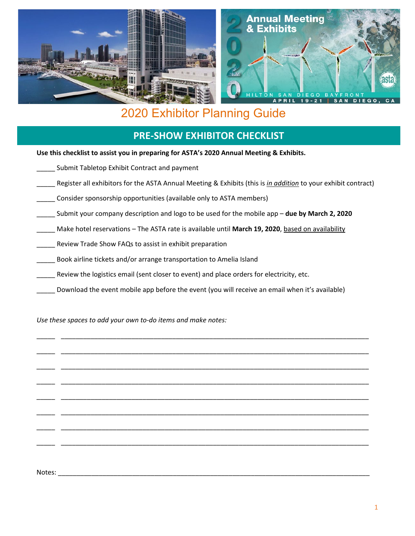

# 2020 Exhibitor Planning Guide

# **PRE-SHOW EXHIBITOR CHECKLIST**

**Use this checklist to assist you in preparing for ASTA's 2020 Annual Meeting & Exhibits.**

- Submit Tabletop Exhibit Contract and payment
- \_\_\_\_\_ Register all exhibitors for the ASTA Annual Meeting & Exhibits (this is *in addition* to your exhibit contract)
- \_\_\_\_\_ Consider sponsorship opportunities (available only to ASTA members)
- \_\_\_\_\_ Submit your company description and logo to be used for the mobile app **due by March 2, 2020**
- \_\_\_\_\_ Make hotel reservations The ASTA rate is available until **March 19, 2020**, based on availability
- \_\_\_\_\_ Review Trade Show FAQs to assist in exhibit preparation
- \_\_\_\_\_ Book airline tickets and/or arrange transportation to Amelia Island
- Review the logistics email (sent closer to event) and place orders for electricity, etc.
- Download the event mobile app before the event (you will receive an email when it's available)

\_\_\_\_\_ \_\_\_\_\_\_\_\_\_\_\_\_\_\_\_\_\_\_\_\_\_\_\_\_\_\_\_\_\_\_\_\_\_\_\_\_\_\_\_\_\_\_\_\_\_\_\_\_\_\_\_\_\_\_\_\_\_\_\_\_\_\_\_\_\_\_\_\_\_\_\_\_\_\_\_\_\_\_\_\_\_\_\_

\_\_\_\_\_ \_\_\_\_\_\_\_\_\_\_\_\_\_\_\_\_\_\_\_\_\_\_\_\_\_\_\_\_\_\_\_\_\_\_\_\_\_\_\_\_\_\_\_\_\_\_\_\_\_\_\_\_\_\_\_\_\_\_\_\_\_\_\_\_\_\_\_\_\_\_\_\_\_\_\_\_\_\_\_\_\_\_\_

\_\_\_\_\_ \_\_\_\_\_\_\_\_\_\_\_\_\_\_\_\_\_\_\_\_\_\_\_\_\_\_\_\_\_\_\_\_\_\_\_\_\_\_\_\_\_\_\_\_\_\_\_\_\_\_\_\_\_\_\_\_\_\_\_\_\_\_\_\_\_\_\_\_\_\_\_\_\_\_\_\_\_\_\_\_\_\_\_

\_\_\_\_\_ \_\_\_\_\_\_\_\_\_\_\_\_\_\_\_\_\_\_\_\_\_\_\_\_\_\_\_\_\_\_\_\_\_\_\_\_\_\_\_\_\_\_\_\_\_\_\_\_\_\_\_\_\_\_\_\_\_\_\_\_\_\_\_\_\_\_\_\_\_\_\_\_\_\_\_\_\_\_\_\_\_\_\_

\_\_\_\_\_ \_\_\_\_\_\_\_\_\_\_\_\_\_\_\_\_\_\_\_\_\_\_\_\_\_\_\_\_\_\_\_\_\_\_\_\_\_\_\_\_\_\_\_\_\_\_\_\_\_\_\_\_\_\_\_\_\_\_\_\_\_\_\_\_\_\_\_\_\_\_\_\_\_\_\_\_\_\_\_\_\_\_\_

\_\_\_\_\_ \_\_\_\_\_\_\_\_\_\_\_\_\_\_\_\_\_\_\_\_\_\_\_\_\_\_\_\_\_\_\_\_\_\_\_\_\_\_\_\_\_\_\_\_\_\_\_\_\_\_\_\_\_\_\_\_\_\_\_\_\_\_\_\_\_\_\_\_\_\_\_\_\_\_\_\_\_\_\_\_\_\_\_

\_\_\_\_\_ \_\_\_\_\_\_\_\_\_\_\_\_\_\_\_\_\_\_\_\_\_\_\_\_\_\_\_\_\_\_\_\_\_\_\_\_\_\_\_\_\_\_\_\_\_\_\_\_\_\_\_\_\_\_\_\_\_\_\_\_\_\_\_\_\_\_\_\_\_\_\_\_\_\_\_\_\_\_\_\_\_\_\_

\_\_\_\_\_ \_\_\_\_\_\_\_\_\_\_\_\_\_\_\_\_\_\_\_\_\_\_\_\_\_\_\_\_\_\_\_\_\_\_\_\_\_\_\_\_\_\_\_\_\_\_\_\_\_\_\_\_\_\_\_\_\_\_\_\_\_\_\_\_\_\_\_\_\_\_\_\_\_\_\_\_\_\_\_\_\_\_\_

*Use these spaces to add your own to-do items and make notes:*

Notes: \_\_\_\_\_\_\_\_\_\_\_\_\_\_\_\_\_\_\_\_\_\_\_\_\_\_\_\_\_\_\_\_\_\_\_\_\_\_\_\_\_\_\_\_\_\_\_\_\_\_\_\_\_\_\_\_\_\_\_\_\_\_\_\_\_\_\_\_\_\_\_\_\_\_\_\_\_\_\_\_\_\_\_\_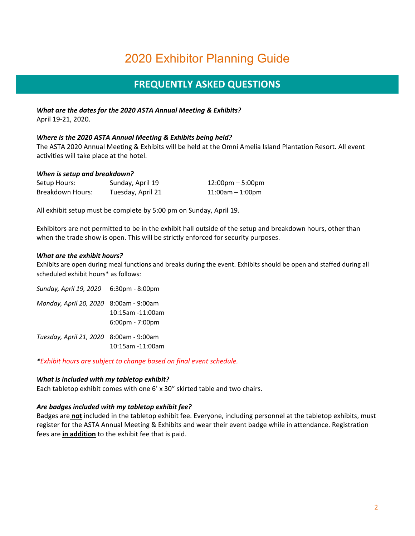# 2020 Exhibitor Planning Guide

# **FREQUENTLY ASKED QUESTIONS**

*What are the dates for the 2020 ASTA Annual Meeting & Exhibits?* April 19-21, 2020.

## *Where is the 2020 ASTA Annual Meeting & Exhibits being held?*

The ASTA 2020 Annual Meeting & Exhibits will be held at the Omni Amelia Island Plantation Resort. All event activities will take place at the hotel.

### *When is setup and breakdown?*

| Setup Hours:     | Sunday, April 19  | $12:00 \text{pm} - 5:00 \text{pm}$ |
|------------------|-------------------|------------------------------------|
| Breakdown Hours: | Tuesday, April 21 | $11:00am - 1:00pm$                 |

All exhibit setup must be complete by 5:00 pm on Sunday, April 19.

Exhibitors are not permitted to be in the exhibit hall outside of the setup and breakdown hours, other than when the trade show is open. This will be strictly enforced for security purposes.

#### *What are the exhibit hours?*

Exhibits are open during meal functions and breaks during the event. Exhibits should be open and staffed during all scheduled exhibit hours\* as follows:

*Sunday, April 19, 2020* 6:30pm - 8:00pm *Monday, April 20, 2020* 8:00am - 9:00am 10:15am -11:00am 6:00pm - 7:00pm *Tuesday, April 21, 2020* 8:00am - 9:00am 10:15am -11:00am

*\*Exhibit hours are subject to change based on final event schedule.* 

### *What is included with my tabletop exhibit?*

Each tabletop exhibit comes with one 6' x 30" skirted table and two chairs.

### *Are badges included with my tabletop exhibit fee?*

Badges are **not** included in the tabletop exhibit fee. Everyone, including personnel at the tabletop exhibits, must register for the ASTA Annual Meeting & Exhibits and wear their event badge while in attendance. Registration fees are **in addition** to the exhibit fee that is paid.